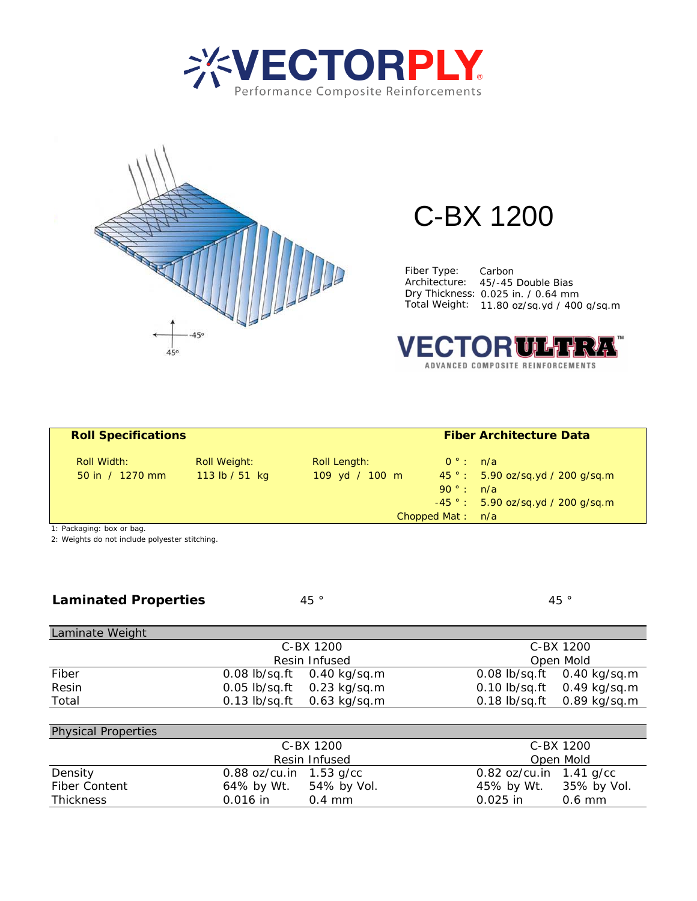



## C-BX 1200

Fiber Type: Carbon Architecture: 45/-45 Double Bias Dry Thickness: 0.025 in. / 0.64 mm Total Weight: 11.80 oz/sq.yd / 400 g/sq.m



| <b>Roll Specifications</b> |                |                | <b>Fiber Architecture Data</b> |                                      |  |
|----------------------------|----------------|----------------|--------------------------------|--------------------------------------|--|
| Roll Width:                | Roll Weight:   | Roll Length:   | $0^\circ$ : n/a                |                                      |  |
| 50 in $/1270$ mm           | 113 lb / 51 kg | 109 yd / 100 m |                                | $45$ ° : 5.90 oz/sq.yd / 200 g/sq.m  |  |
|                            |                |                | $90^\circ$ : $n/a$             |                                      |  |
|                            |                |                |                                | $-45$ ° : 5.90 oz/sq.yd / 200 g/sq.m |  |
|                            |                |                | Chopped Mat: $n/a$             |                                      |  |
| 1. Doolcoging, how or hoo  |                |                |                                |                                      |  |

1: Packaging: box or bag.

2: Weights do not include polyester stitching.

| <b>Laminated Properties</b> |  |
|-----------------------------|--|
|-----------------------------|--|

45 °

45 °

| Laminate Weight |               |                                |           |                                |
|-----------------|---------------|--------------------------------|-----------|--------------------------------|
|                 | C-BX 1200     |                                | C-BX 1200 |                                |
|                 | Resin Infused |                                | Open Mold |                                |
| Fiber           |               | 0.08 lb/sq.ft 0.40 kg/sq.m     |           | 0.08 lb/sq.ft 0.40 kg/sq.m     |
| Resin           |               | 0.05 lb/sq.ft 0.23 kg/sq.m     |           | 0.10 lb/sq.ft 0.49 kg/sq.m     |
| Total           |               | $0.13$ lb/sq.ft $0.63$ kg/sq.m |           | $0.18$ lb/sq.ft $0.89$ kg/sq.m |
|                 |               |                                |           |                                |

| <b>Physical Properties</b> |                           |                           |
|----------------------------|---------------------------|---------------------------|
|                            | C-BX 1200                 | C-BX 1200                 |
|                            | Resin Infused             | Open Mold                 |
| Density                    | 0.88 $oz/cu.in$ 1.53 g/cc | 0.82 oz/cu.in $1.41$ g/cc |
| <b>Fiber Content</b>       | 54% by Vol.<br>64% by Wt. | 45% by Wt. 35% by Vol.    |
| <b>Thickness</b>           | $0.016$ in<br>$0.4$ mm    | $0.025$ in<br>$0.6$ mm    |